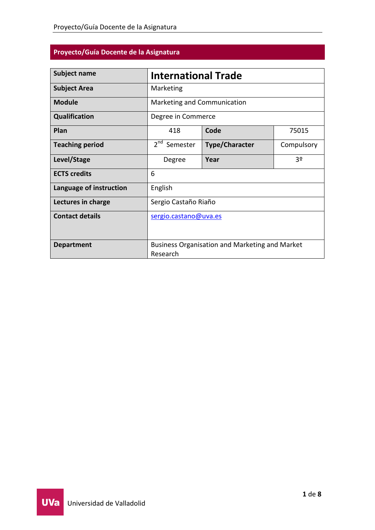# **Proyecto/Guía Docente de la Asignatura**

| <b>Subject name</b>     | <b>International Trade</b>                                 |                       |            |
|-------------------------|------------------------------------------------------------|-----------------------|------------|
| <b>Subject Area</b>     | Marketing                                                  |                       |            |
| <b>Module</b>           | Marketing and Communication                                |                       |            |
| <b>Qualification</b>    | Degree in Commerce                                         |                       |            |
| Plan                    | 418                                                        | Code                  | 75015      |
| <b>Teaching period</b>  | 2 <sup>nd</sup> Semester                                   | <b>Type/Character</b> | Compulsory |
| Level/Stage             | Degree                                                     | Year                  | 3º         |
| <b>ECTS</b> credits     | 6                                                          |                       |            |
| Language of instruction | English                                                    |                       |            |
| Lectures in charge      | Sergio Castaño Riaño                                       |                       |            |
| <b>Contact details</b>  | sergio.castano@uva.es                                      |                       |            |
| <b>Department</b>       | Business Organisation and Marketing and Market<br>Research |                       |            |

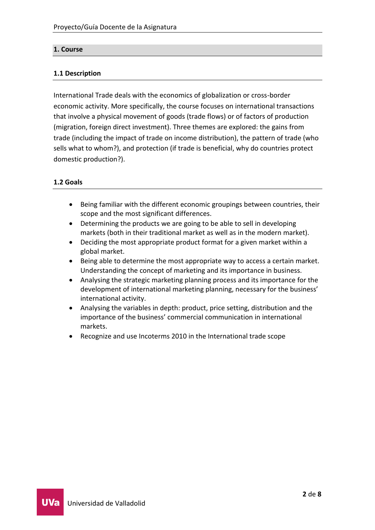# **1. Course**

## **1.1 Description**

International Trade deals with the economics of globalization or cross-border economic activity. More specifically, the course focuses on international transactions that involve a physical movement of goods (trade flows) or of factors of production (migration, foreign direct investment). Three themes are explored: the gains from trade (including the impact of trade on income distribution), the pattern of trade (who sells what to whom?), and protection (if trade is beneficial, why do countries protect domestic production?).

### **1.2 Goals**

- Being familiar with the different economic groupings between countries, their scope and the most significant differences.
- Determining the products we are going to be able to sell in developing markets (both in their traditional market as well as in the modern market).
- Deciding the most appropriate product format for a given market within a global market.
- Being able to determine the most appropriate way to access a certain market. Understanding the concept of marketing and its importance in business.
- Analysing the strategic marketing planning process and its importance for the development of international marketing planning, necessary for the business' international activity.
- Analysing the variables in depth: product, price setting, distribution and the importance of the business' commercial communication in international markets.
- Recognize and use Incoterms 2010 in the International trade scope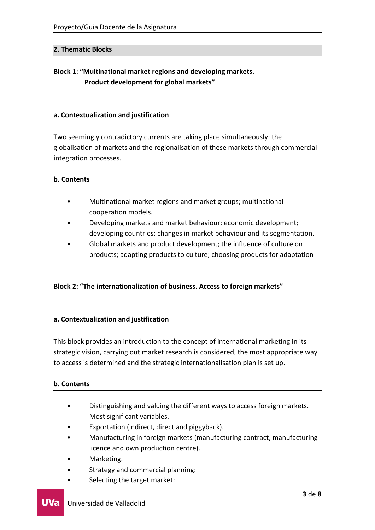## **2. Thematic Blocks**

# **Block 1: "Multinational market regions and developing markets. Product development for global markets"**

#### **a. Contextualization and justification**

Two seemingly contradictory currents are taking place simultaneously: the globalisation of markets and the regionalisation of these markets through commercial integration processes.

#### **b. Contents**

- Multinational market regions and market groups; multinational cooperation models.
- Developing markets and market behaviour; economic development; developing countries; changes in market behaviour and its segmentation.
- Global markets and product development; the influence of culture on products; adapting products to culture; choosing products for adaptation

# **Block 2: "The internationalization of business. Access to foreign markets"**

#### **a. Contextualization and justification**

This block provides an introduction to the concept of international marketing in its strategic vision, carrying out market research is considered, the most appropriate way to access is determined and the strategic internationalisation plan is set up.

#### **b. Contents**

- Distinguishing and valuing the different ways to access foreign markets. Most significant variables.
- Exportation (indirect, direct and piggyback).
- Manufacturing in foreign markets (manufacturing contract, manufacturing licence and own production centre).
- Marketing.
- Strategy and commercial planning:
- Selecting the target market: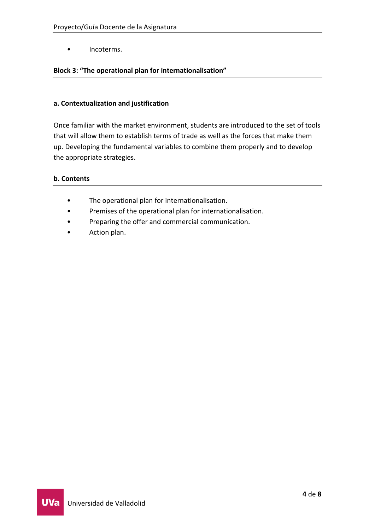• Incoterms.

# **Block 3: "The operational plan for internationalisation"**

## **a. Contextualization and justification**

Once familiar with the market environment, students are introduced to the set of tools that will allow them to establish terms of trade as well as the forces that make them up. Developing the fundamental variables to combine them properly and to develop the appropriate strategies.

# **b. Contents**

- The operational plan for internationalisation.
- Premises of the operational plan for internationalisation.
- Preparing the offer and commercial communication.
- Action plan.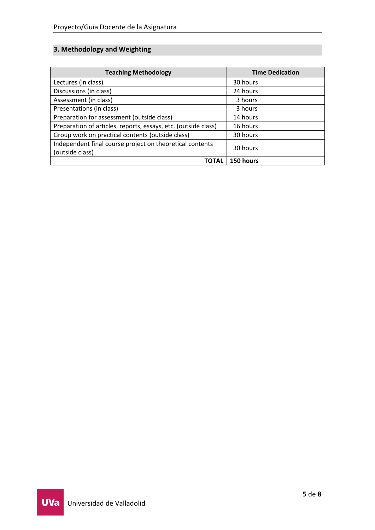# **3. Methodology and Weighting**

| <b>Teaching Methodology</b>                                                 | <b>Time Dedication</b> |
|-----------------------------------------------------------------------------|------------------------|
| Lectures (in class)                                                         | 30 hours               |
| Discussions (in class)                                                      | 24 hours               |
| Assessment (in class)                                                       | 3 hours                |
| Presentations (in class)                                                    | 3 hours                |
| Preparation for assessment (outside class)                                  | 14 hours               |
| Preparation of articles, reports, essays, etc. (outside class)              | 16 hours               |
| Group work on practical contents (outside class)                            | 30 hours               |
| Independent final course project on theoretical contents<br>(outside class) | 30 hours               |
| <b>TOTAL</b>                                                                | 150 hours              |

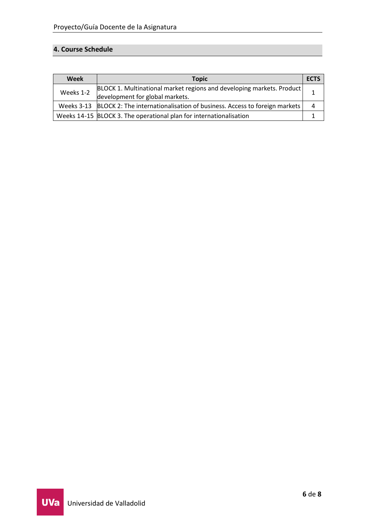# **4. Course Schedule**

| Week      | <b>Topic</b>                                                                                             | <b>ECTS</b> |
|-----------|----------------------------------------------------------------------------------------------------------|-------------|
| Weeks 1-2 | BLOCK 1. Multinational market regions and developing markets. Product<br>development for global markets. |             |
|           | Weeks 3-13 BLOCK 2: The internationalisation of business. Access to foreign markets                      | 4           |
|           | Weeks 14-15 BLOCK 3. The operational plan for internationalisation                                       |             |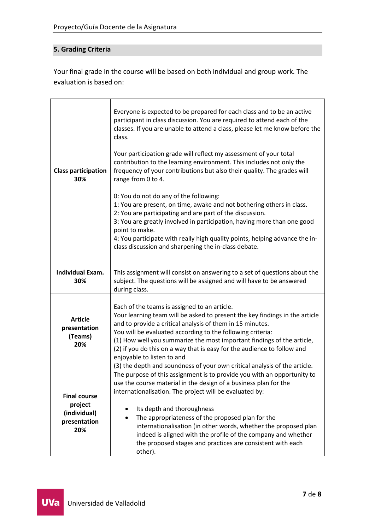# **5. Grading Criteria**

Your final grade in the course will be based on both individual and group work. The evaluation is based on:

| <b>Class participation</b><br>30%                                     | Everyone is expected to be prepared for each class and to be an active<br>participant in class discussion. You are required to attend each of the<br>classes. If you are unable to attend a class, please let me know before the<br>class.<br>Your participation grade will reflect my assessment of your total<br>contribution to the learning environment. This includes not only the<br>frequency of your contributions but also their quality. The grades will<br>range from 0 to 4.<br>0: You do not do any of the following:<br>1: You are present, on time, awake and not bothering others in class.<br>2: You are participating and are part of the discussion.<br>3: You are greatly involved in participation, having more than one good<br>point to make.<br>4: You participate with really high quality points, helping advance the in-<br>class discussion and sharpening the in-class debate. |  |
|-----------------------------------------------------------------------|-------------------------------------------------------------------------------------------------------------------------------------------------------------------------------------------------------------------------------------------------------------------------------------------------------------------------------------------------------------------------------------------------------------------------------------------------------------------------------------------------------------------------------------------------------------------------------------------------------------------------------------------------------------------------------------------------------------------------------------------------------------------------------------------------------------------------------------------------------------------------------------------------------------|--|
| <b>Individual Exam.</b><br>30%                                        | This assignment will consist on answering to a set of questions about the<br>subject. The questions will be assigned and will have to be answered<br>during class.                                                                                                                                                                                                                                                                                                                                                                                                                                                                                                                                                                                                                                                                                                                                          |  |
| <b>Article</b><br>presentation<br>(Teams)<br>20%                      | Each of the teams is assigned to an article.<br>Your learning team will be asked to present the key findings in the article<br>and to provide a critical analysis of them in 15 minutes.<br>You will be evaluated according to the following criteria:<br>(1) How well you summarize the most important findings of the article,<br>(2) if you do this on a way that is easy for the audience to follow and<br>enjoyable to listen to and<br>(3) the depth and soundness of your own critical analysis of the article.                                                                                                                                                                                                                                                                                                                                                                                      |  |
| <b>Final course</b><br>project<br>(individual)<br>presentation<br>20% | The purpose of this assignment is to provide you with an opportunity to<br>use the course material in the design of a business plan for the<br>internationalisation. The project will be evaluated by:<br>Its depth and thoroughness<br>The appropriateness of the proposed plan for the<br>internationalisation (in other words, whether the proposed plan<br>indeed is aligned with the profile of the company and whether<br>the proposed stages and practices are consistent with each<br>other).                                                                                                                                                                                                                                                                                                                                                                                                       |  |